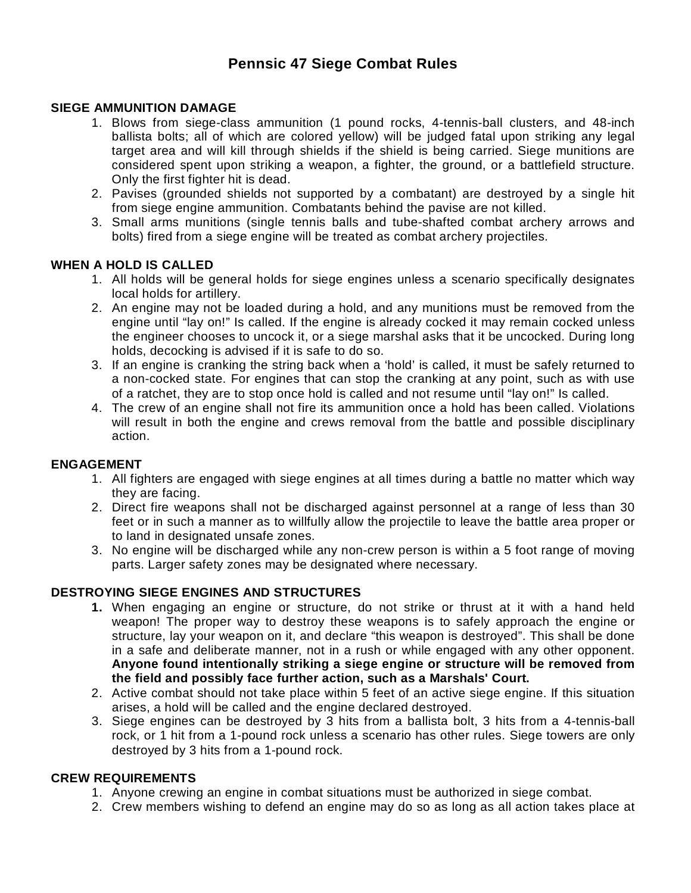# **Pennsic 47 Siege Combat Rules**

## **SIEGE AMMUNITION DAMAGE**

- 1. Blows from siege-class ammunition (1 pound rocks, 4-tennis-ball clusters, and 48-inch ballista bolts; all of which are colored yellow) will be judged fatal upon striking any legal target area and will kill through shields if the shield is being carried. Siege munitions are considered spent upon striking a weapon, a fighter, the ground, or a battlefield structure. Only the first fighter hit is dead.
- 2. Pavises (grounded shields not supported by a combatant) are destroyed by a single hit from siege engine ammunition. Combatants behind the pavise are not killed.
- 3. Small arms munitions (single tennis balls and tube-shafted combat archery arrows and bolts) fired from a siege engine will be treated as combat archery projectiles.

## **WHEN A HOLD IS CALLED**

- 1. All holds will be general holds for siege engines unless a scenario specifically designates local holds for artillery.
- 2. An engine may not be loaded during a hold, and any munitions must be removed from the engine until "lay on!" Is called. If the engine is already cocked it may remain cocked unless the engineer chooses to uncock it, or a siege marshal asks that it be uncocked. During long holds, decocking is advised if it is safe to do so.
- 3. If an engine is cranking the string back when a 'hold' is called, it must be safely returned to a non-cocked state. For engines that can stop the cranking at any point, such as with use of a ratchet, they are to stop once hold is called and not resume until "lay on!" Is called.
- 4. The crew of an engine shall not fire its ammunition once a hold has been called. Violations will result in both the engine and crews removal from the battle and possible disciplinary action.

#### **ENGAGEMENT**

- 1. All fighters are engaged with siege engines at all times during a battle no matter which way they are facing.
- 2. Direct fire weapons shall not be discharged against personnel at a range of less than 30 feet or in such a manner as to willfully allow the projectile to leave the battle area proper or to land in designated unsafe zones.
- 3. No engine will be discharged while any non-crew person is within a 5 foot range of moving parts. Larger safety zones may be designated where necessary.

# **DESTROYING SIEGE ENGINES AND STRUCTURES**

- **1.** When engaging an engine or structure, do not strike or thrust at it with a hand held weapon! The proper way to destroy these weapons is to safely approach the engine or structure, lay your weapon on it, and declare "this weapon is destroyed". This shall be done in a safe and deliberate manner, not in a rush or while engaged with any other opponent. **Anyone found intentionally striking a siege engine or structure will be removed from the field and possibly face further action, such as a Marshals' Court.**
- 2. Active combat should not take place within 5 feet of an active siege engine. If this situation arises, a hold will be called and the engine declared destroyed.
- 3. Siege engines can be destroyed by 3 hits from a ballista bolt, 3 hits from a 4-tennis-ball rock, or 1 hit from a 1-pound rock unless a scenario has other rules. Siege towers are only destroyed by 3 hits from a 1-pound rock.

#### **CREW REQUIREMENTS**

- 1. Anyone crewing an engine in combat situations must be authorized in siege combat.
- 2. Crew members wishing to defend an engine may do so as long as all action takes place at